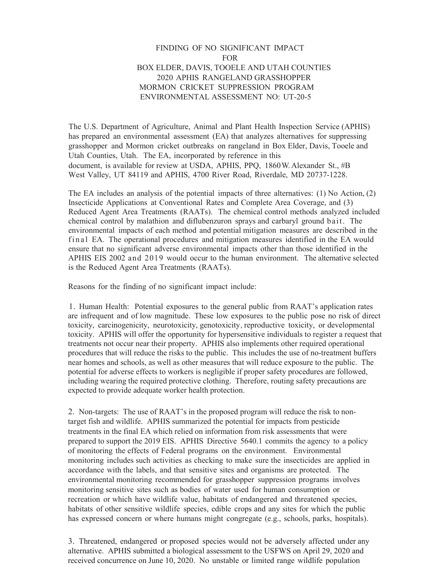## FINDING OF NO SIGNIFICANT IMPACT FOR BOX ELDER, DAVIS, TOOELE AND UTAH COUNTIES 2020 APHIS RANGELAND GRASSHOPPER MORMON CRICKET SUPPRESSION PROGRAM ENVIRONMENTAL ASSESSMENT NO: UT-20-5

The U.S. Department of Agriculture, Animal and Plant Health Inspection Service (APHIS) has prepared an environmental assessment (EA) that analyzes alternatives for suppressing grasshopper and Mormon cricket outbreaks on rangeland in Box Elder, Davis, Tooele and Utah Counties, Utah. The EA, incorporated by reference in this document, is available for review at USDA, APHIS, PPQ, 1860 W. Alexander St., #B West Valley, UT 84119 and APHIS, 4700 River Road, Riverdale, MD 20737-1228.

The EA includes an analysis of the potential impacts of three alternatives: (1) No Action, (2) Insecticide Applications at Conventional Rates and Complete Area Coverage, and (3) Reduced Agent Area Treatments (RAATs). The chemical control methods analyzed included chemical control by malathion and diflubenzuron sprays and carbaryl ground bait. The environmental impacts of each method and potential mitigation measures are described in the final EA. The operational procedures and mitigation measures identified in the EA would ensure that no significant adverse environmental impacts other than those identified in the APHIS EIS 2002 and 2019 would occur to the human environment. The alternative selected is the Reduced Agent Area Treatments (RAATs).

Reasons for the finding of no significant impact include:

1. Human Health: Potential exposures to the general public from RAAT's application rates are infrequent and of low magnitude. These low exposures to the public pose no risk of direct toxicity, carcinogenicity, neurotoxicity, genotoxicity, reproductive toxicity, or developmental toxicity. APHIS will offer the opportunity for hypersensitive individuals to register a request that treatments not occur near their property. APHIS also implements other required operational procedures that will reduce the risks to the public. This includes the use of no-treatment buffers near homes and schools, as well as other measures that will reduce exposure to the public. The potential for adverse effects to workers is negligible if proper safety procedures are followed, including wearing the required protective clothing. Therefore, routing safety precautions are expected to provide adequate worker health protection.

2. Non-targets: The use of RAAT's in the proposed program will reduce the risk to nontarget fish and wildlife. APHIS summarized the potential for impacts from pesticide treatments in the final EA which relied on information from risk assessments that were prepared to support the 2019 EIS. APHIS Directive 5640.1 commits the agency to a policy of monitoring the effects of Federal programs on the environment. Environmental monitoring includes such activities as checking to make sure the insecticides are applied in accordance with the labels, and that sensitive sites and organisms are protected. The environmental monitoring recommended for grasshopper suppression programs involves monitoring sensitive sites such as bodies of water used for human consumption or recreation or which have wildlife value, habitats of endangered and threatened species, habitats of other sensitive wildlife species, edible crops and any sites for which the public has expressed concern or where humans might congregate (e.g., schools, parks, hospitals).

3. Threatened, endangered or proposed species would not be adversely affected under any alternative. APHIS submitted a biological assessment to the USFWS on April 29, 2020 and received concurrence on June 10, 2020. No unstable or limited range wildlife population